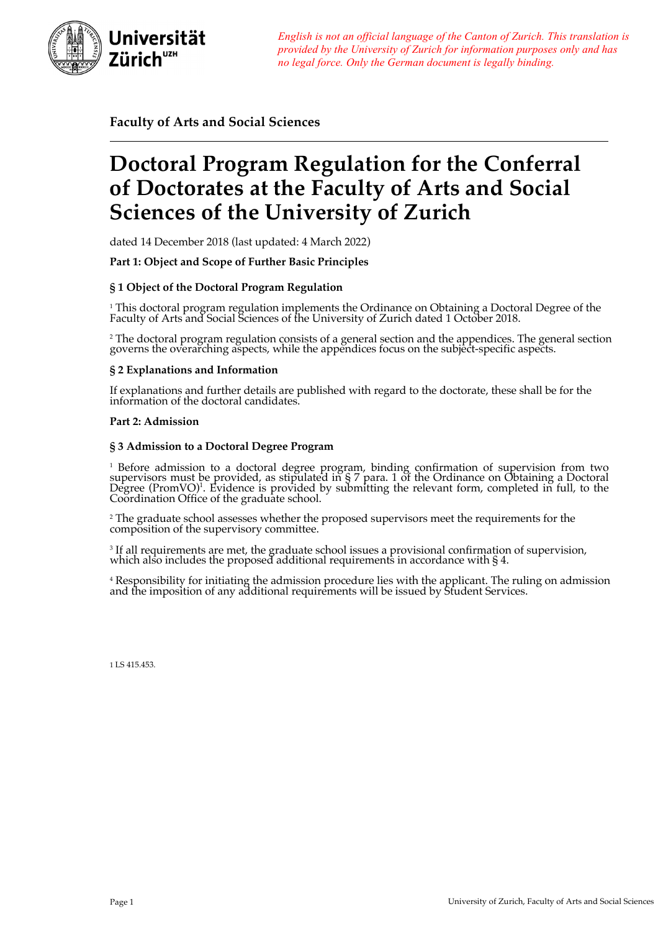

*English is not an official language of the Canton of Zurich. This translation is provided by the University of Zurich for information purposes only and has no legal force. Only the German document is legally binding.*

**Faculty of Arts and Social Sciences**

# **Doctoral Program Regulation for the Conferral of Doctorates at the Faculty of Arts and Social Sciences of the University of Zurich**

dated 14 December 2018 (last updated: 4 March 2022)

**Part 1: Object and Scope of Further Basic Principles**

# **§ 1 Object of the Doctoral Program Regulation**

 $^1$  This doctoral program regulation implements the Ordinance on Obtaining a Doctoral Degree of the Faculty of Arts and Social Sciences of the University of Zurich dated 1 October 2018.

<sup>2</sup> The doctoral program regulation consists of a general section and the appendices. The general section governs the overarching aspects, while the appendices focus on the subject-specific aspects.

# **§ 2 Explanations and Information**

If explanations and further details are published with regard to the doctorate, these shall be for the information of the doctoral candidates.

# **Part 2: Admission**

# **§ 3 Admission to a Doctoral Degree Program**

 $^1$  Before admission to a doctoral degree program, binding confirmation of supervision from two<br>supervisors must be provided, as stipulated in § 7 para. 1 of the Ordinance on Obtaining a Doctoral Degree (PromVO)<sup>1</sup>. Evidence is provided by submitting the relevant form, completed in full, to the<br>Coordination Office of the graduate school.

<sup>2</sup> The graduate school assesses whether the proposed supervisors meet the requirements for the composition of the supervisory committee.

<sup>3</sup> If all requirements are met, the graduate school issues a provisional confirmation of supervision, which also includes the proposed additional requirements in accordance with § 4.

<sup>4</sup> Responsibility for initiating the admission procedure lies with the applicant. The ruling on admission and the imposition of any additional requirements will be issued by Student Services.

1 LS 415.453.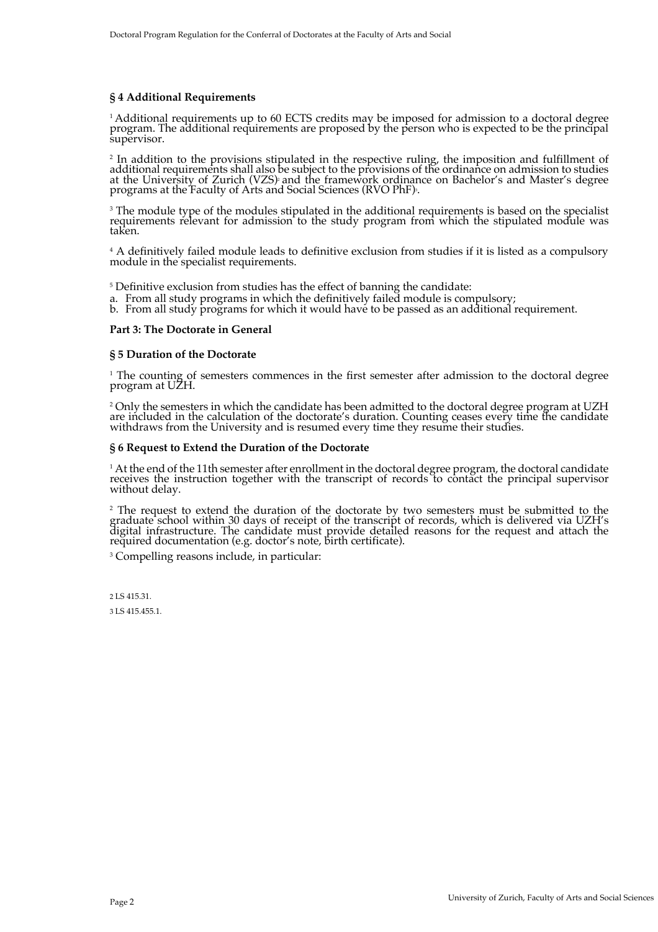# **§ 4 Additional Requirements**

<sup>1</sup> Additional requirements up to 60 ECTS credits may be imposed for admission to a doctoral degree program. The additional requirements are proposed by the person who is expected to be the principal supervisor.

<sup>2</sup> In addition to the provisions stipulated in the respective ruling, the imposition and fulfillment of<br>additional requirements shall also be subject to the provisions of the ordinance on admission to studies at the University of Zurich (VZS) and the framework ordinance on Bachelor's and Master's degree<br>programs at the Faculty of Arts and Social Sciences (RVO PhF)<sup>3</sup>.

<sup>3</sup> The module type of the modules stipulated in the additional requirements is based on the specialist requirements relevant for admission to the study program from which the stipulated module was taken.

<sup>4</sup> A definitively failed module leads to definitive exclusion from studies if it is listed as a compulsory module in the specialist requirements.

<sup>5</sup> Definitive exclusion from studies has the effect of banning the candidate: **a**. From all study programs in which the definitively failed module is compulsory;

b. From all study programs for which it would have to be passed as an additional requirement.

#### **Part 3: The Doctorate in General**

#### **§ 5 Duration of the Doctorate**

<sup>1</sup> The counting of semesters commences in the first semester after admission to the doctoral degree program at UZH.

<sup>2</sup> Only the semesters in which the candidate has been admitted to the doctoral degree program at UZH are included in the calculation of the doctorate's duration. Counting ceases every time the candidate withdraws from the University and is resumed every time they resume their studies.

#### **§ 6 Request to Extend the Duration of the Doctorate**

<sup>1</sup> At the end of the 11th semester after enrollment in the doctoral degree program, the doctoral candidate receives the instruction together with the transcript of records to contact the principal supervisor without delay.

<sup>2</sup> The request to extend the duration of the doctorate by two semesters must be submitted to the graduate school within 30 days of receipt of the transcript of records, which is delivered via UZH's digital infrastructure. The candidate must provide detailed reasons for the request and attach the required documentation (e.g. doctor's note, birth certificate).

<sup>3</sup> Compelling reasons include, in particular:

2 LS 415.31. 3 LS 415.455.1.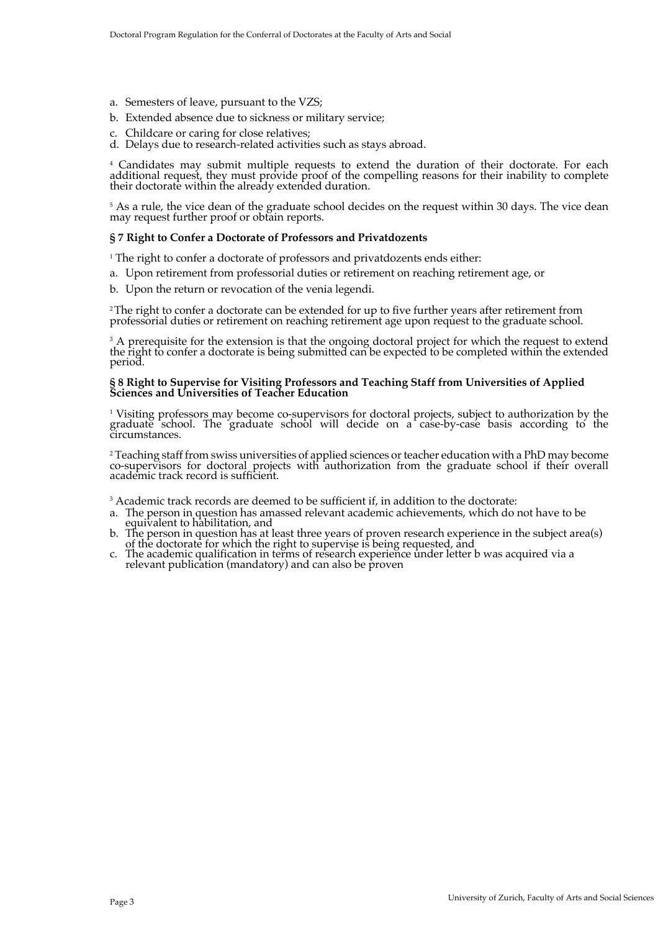- a. Semesters of leave, pursuant to the VZS;
- b. Extended absence due to sickness or military service;
- Childcare or caring for close relatives;
- d. Delays due to research-related activities such as stays abroad.

<sup>4</sup> Candidates may submit multiple requests to extend the duration of their doctorate. For each additional request, they must provide proof of the compelling reasons for their inability to complete their doctorate within the already extended duration.

<sup>5</sup> As a rule, the vice dean of the graduate school decides on the request within 30 days. The vice dean may request further proof or obtain reports.

#### **§ 7 Right to Confer a Doctorate of Professors and Privatdozents**

<sup>1</sup> The right to confer a doctorate of professors and privatdozents ends either:

- a. Upon retirement from professorial duties or retirement on reaching retirement age, or
- b. Upon the return or revocation of the venia legendi.

<sup>2</sup>The right to confer a doctorate can be extended for up to five further years after retirement from professorial duties or retirement on reaching retirement age upon request to the graduate school.

<sup>3</sup> A prerequisite for the extension is that the ongoing doctoral project for which the request to extend the r̃ight to confer a doctorate is being submitted can ̇̃be expected to be completed within the extended period.

#### **§ 8 Right to Supervise for Visiting Professors and Teaching Staff from Universities of Applied Sciences and Universities of Teacher Education**

<sup>1</sup> Visiting professors may become co-supervisors for doctoral projects, subject to authorization by the graduate school. The graduate school will decide on a case-by-case basis according to the circumstances.

<sup>2</sup> Teaching staff from swiss universities of applied sciences or teacher education with a PhD may become co-supervisors for doctoral projects with authorization from the graduate school if their overall academic track record is sufficient.

<sup>3</sup> Academic track records are deemed to be sufficient if, in addition to the doctorate:

- a. The person in question has amassed relevant academic achievements, which do not have to be
- equivalent to habilitation, and<br>b. The person in question has at least three years of proven research experience in the subject area(s) of the doctorate for which the right to supervise is being requested, and
- c. The academic qualification in terms of research experience under letter b was acquired via a relevant publication (mandatory) and can also be p̃roven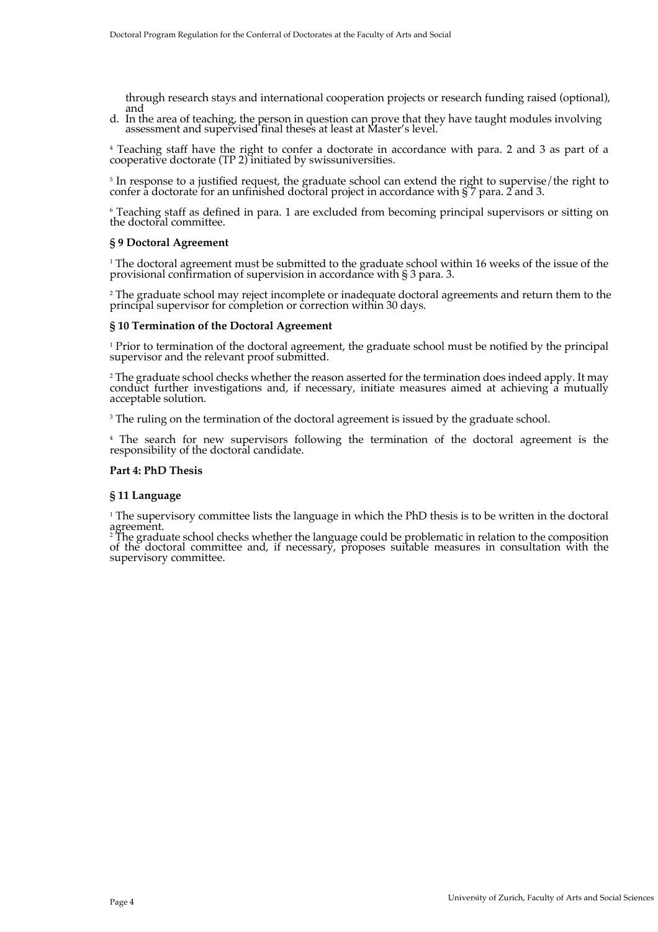through research stays and international cooperation projects or research funding raised (optional), and

d. In the area of teaching, the person in question can prove that they have taught modules involving assessment and supervised final theses at least at Master's level.

<sup>4</sup> Teaching staff have the right to confer a doctorate in accordance with para. 2 and 3 as part of a cooperative doctorate (TP 2) initiated by swissuniversities.

<sup>5</sup> In response to a justified request, the graduate school can extend the right to supervise/the right to confer a doctorate for an unfinished doctoral project in accordance with § 7 para. 2 and 3.

<sup>6</sup> Teaching staff as defined in para. 1 are excluded from becoming principal supervisors or sitting on the doctoral committee.

#### **§ 9 Doctoral Agreement**

<sup>1</sup> The doctoral agreement must be submitted to the graduate school within 16 weeks of the issue of the provisional confirmation of supervision in accordance with § 3 para. 3.

 $^2$  The graduate school may reject incomplete or inadequate doctoral agreements and return them to the principal supervisor for completion or correction within 30 days.

#### **§ 10 Termination of the Doctoral Agreement**

<sup>1</sup> Prior to termination of the doctoral agreement, the graduate school must be notified by the principal supervisor and the relevant proof submitted.

<sup>2</sup> The graduate school checks whether the reason asserted for the termination does indeed apply. It may conduct further investigations and, if necessary, initiate measures aimed at achieving  $\hat{a}$  mutually acceptable solution.

<sup>3</sup> The ruling on the termination of the doctoral agreement is issued by the graduate school.

<sup>4</sup> The search for new supervisors following the termination of the doctoral agreement is the responsibility of the doctoral candidate.

#### **Part 4: PhD Thesis**

#### **§ 11 Language**

<sup>1</sup> The supervisory committee lists the language in which the PhD thesis is to be written in the doctoral agreement.

<sup>2</sup> The graduate school checks whether the language could be problematic in relation to the composition<br>of the doctoral committee and, if necessary, proposes suitable measures in consultation with the of the doctoral committee and, if necessary, proposes suitable measures in consultation with the supervisory committee.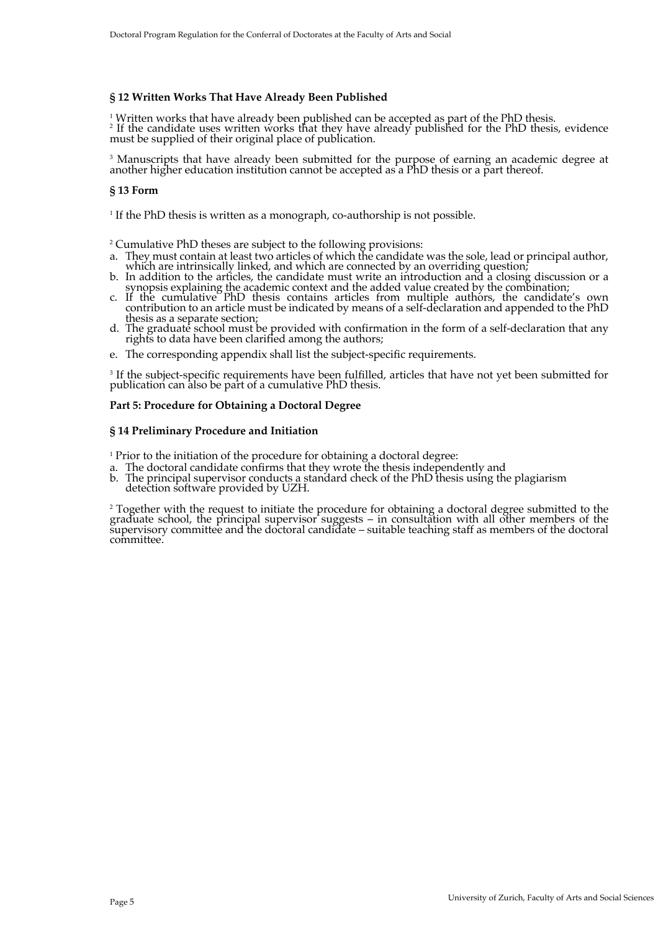#### **§ 12 Written Works That Have Already Been Published**

 $^1$  Written works that have already been published can be accepted as part of the PhD thesis.

<sup>2</sup> If the candidate uses written works that they have already published for the PhD thesis, evidence must be supplied of their original place of publication.

<sup>3</sup> Manuscripts that have already been submitted for the purpose of earning an academic degree at another higher education institution cannot be accepted as a PhD thesis or a part thereof.

#### **§ 13 Form**

<sup>1</sup> If the PhD thesis is written as a monograph, co-authorship is not possible.

<sup>2</sup> Cumulative PhD theses are subject to the following provisions:

- a. They must contain at least two articles of which the candidate was the sole, lead or principal author,
- which are intrinsically linked, and which are connected by an overriding question;<br>b. In addition to the articles, the candidate must write an introduction and a closing discussion or a
- exercise explaining the academic context and the added value created by the combination;<br>c. If the cumulative PhD thesis contains articles from multiple authors, the candidate's own<br>contribution to an article must be indic
- thesis as a separate section;<br>d. The graduate school must be provided with confirmation in the form of a self-declaration that any<br>rights to data have been clarified among the authors;
- e. The corresponding appendix shall list the subject-specific requirements.

<sup>3</sup> If the subject-specific requirements have been fulfilled, articles that have not yet been submitted for publication can also be part of a cumulative PhD thesis.

# **Part 5: Procedure for Obtaining a Doctoral Degree**

#### **§ 14 Preliminary Procedure and Initiation**

<sup>1</sup> Prior to the initiation of the procedure for obtaining a doctoral degree:

- 
- a. The doctoral candidate confirms that they wrote the thesis independently and b. The principal supervisor conducts a standard check of the PhD thesis using the plagiarism detection software provided by UZH.

<sup>2</sup> Together with the request to initiate the procedure for obtaining a doctoral degree submitted to the graduate school, the principal supervisor suggests – in consultation with all other members of the supervisory committee and the doctoral candidate – suitable teaching staff as members of the doctoral committee.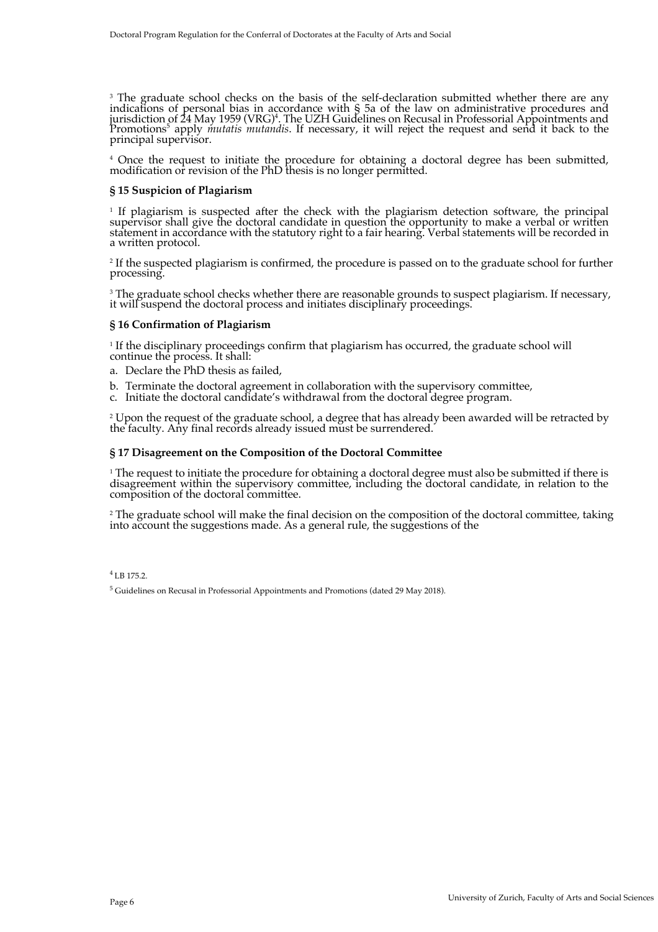$^3$  The graduate school checks on the basis of the self-declaration submitted whether there are any<br>indications of personal bias in accordance with § 5a of the law on administrative procedures and jurisdiction of 24 May 1959 (VRG)<sup>4</sup>. The UZH Guidelines on Recusal in Professorial Appointments and<br>Promotions<sup>5</sup> apply *mutatis mutandis*. If necessary, it will reject the request and send it back to the<br>principal superv

<sup>4</sup> Once the request to initiate the procedure for obtaining a doctoral degree has been submitted, modification or revision of the PhD thesis is no longer permitted.

#### **§ 15 Suspicion of Plagiarism**

<sup>1</sup> If plagiarism is suspected after the check with the plagiarism detection software, the principal supervisor shall give the doctoral candidate in question the opportunity to make a verbal or written statement in accordance with the statutory right to a fair hearing. Verbal statements will be recorded in<br>a written protocol.

<sup>2</sup> If the suspected plagiarism is confirmed, the procedure is passed on to the graduate school for further processing.

<sup>3</sup> The graduate school checks whether there are reasonable grounds to suspect plagiarism. If necessary, it will suspend the doctoral process and initiates disciplinary proceedings.

#### **§ 16 Confirmation of Plagiarism**

<sup>1</sup> If the disciplinary proceedings confirm that plagiarism has occurred, the graduate school will continue the process. It shall:

- a. Declare the PhD thesis as failed,
- b. Terminate the doctoral agreement in collaboration with the supervisory committee,
- c. Initiate the doctoral candidate's withdrawal from the doctoral degree program.

<sup>2</sup> Upon the request of the graduate school, a degree that has already been awarded will be retracted by the faculty. Any final records already issued must be surrendered.

#### **§ 17 Disagreement on the Composition of the Doctoral Committee**

<sup>1</sup> The request to initiate the procedure for obtaining a doctoral degree must also be submitted if there is disagreement within the supervisory committee, including the doctoral candidate, in relation to the composition of the doctoral committee.

<sup>2</sup> The graduate school will make the final decision on the composition of the doctoral committee, taking into account the suggestions made. As a general rule, the suggestions of the

<sup>4</sup> LB 175.2.

 $<sup>5</sup>$  Guidelines on Recusal in Professorial Appointments and Promotions (dated 29 May 2018).</sup>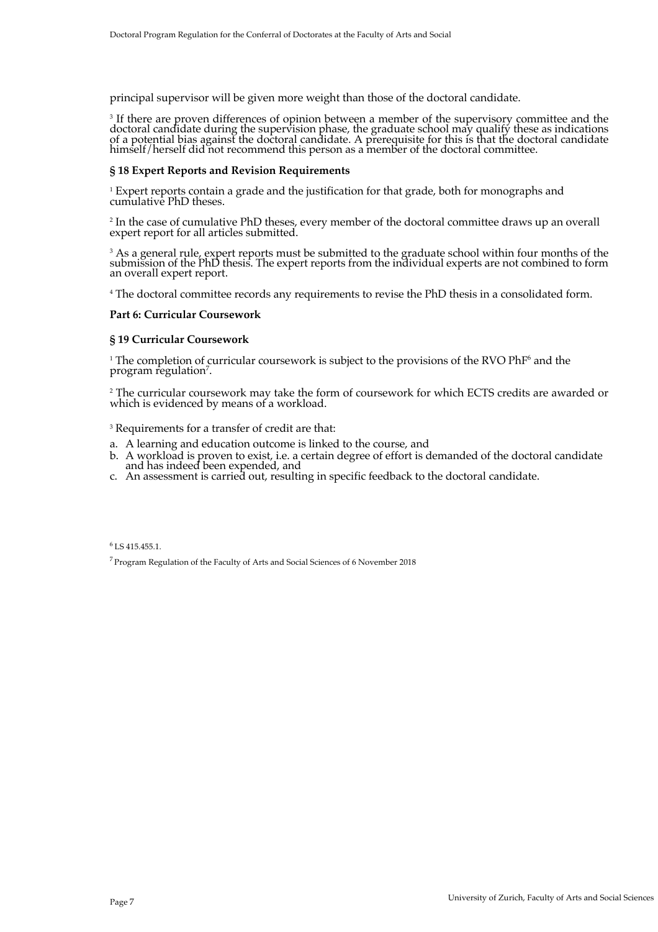principal supervisor will be given more weight than those of the doctoral candidate.

<sup>3</sup> If there are proven differences of opinion between a member of the supervisory committee and the doctoral candidate during the supervision phase, the graduate school may qualify these as indications<br>of a potential bias against the doctoral candidate. A prerequisite for this is that the doctoral candidate himself/herself did not recommend this person as a member of the doctoral committee.

#### **§ 18 Expert Reports and Revision Requirements**

<sup>1</sup> Expert reports contain a grade and the justification for that grade, both for monographs and cumulative PhD theses.

<sup>2</sup> In the case of cumulative PhD theses, every member of the doctoral committee draws up an overall expert report for all articles submitted.

<sup>3</sup> As a general rule, expert reports must be submitted to the graduate school within four months of the submission of the PhD thesis. The expert reports from the individual experts are not combined to form an overall expert report.

<sup>4</sup> The doctoral committee records any requirements to revise the PhD thesis in a consolidated form.

#### **Part 6: Curricular Coursework**

## **§ 19 Curricular Coursework**

 $1$  The completion of curricular coursework is subject to the provisions of the RVO PhF $^6$  and the program regulation<sup>7</sup>.

<sup>2</sup> The curricular coursework may take the form of coursework for which ECTS credits are awarded or which is evidenced by means of a workload.

<sup>3</sup> Requirements for a transfer of credit are that:

- 
- a. A learning and education outcome is linked to the course, and b. A workload is proven to exist, i.e. a certain degree of effort is demanded of the doctoral candidate and has indeed been expended, and
- c. An assessment is carried out, resulting in specific feedback to the doctoral candidate.

 $6$  LS 415.455.1.

7 Program Regulation of the Faculty of Arts and Social Sciences of 6 November 2018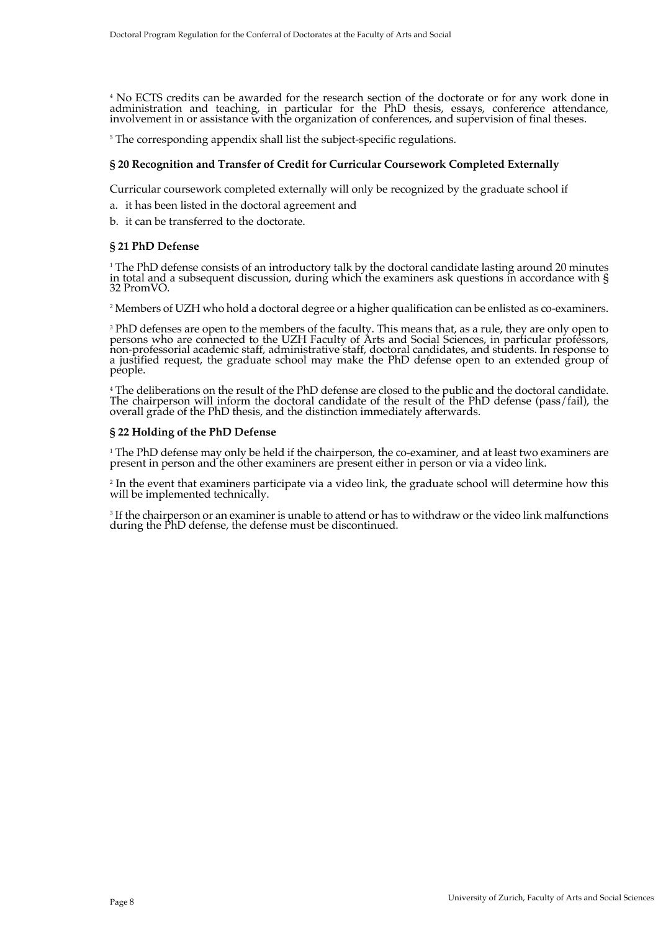<sup>4</sup> No ECTS credits can be awarded for the research section of the doctorate or for any work done in administration and teaching, in particular for the PhD thesis, essays, conference attendance, involvement in or assistance with the organization of conferences, and supervision of final theses.

<sup>5</sup> The corresponding appendix shall list the subject-specific regulations.

# **§ 20 Recognition and Transfer of Credit for Curricular Coursework Completed Externally**

Curricular coursework completed externally will only be recognized by the graduate school if

- a. it has been listed in the doctoral agreement and
- b. it can be transferred to the doctorate.

# **§ 21 PhD Defense**

<sup>1</sup> The PhD defense consists of an introductory talk by the doctoral candidate lasting around 20 minutes in total and a subsequent discussion, during which the examiners ask questions in accordance with §<br>32 PromVO.

<sup>2</sup> Members of UZH who hold a doctoral degree or a higher qualification can be enlisted as co-examiners.

<sup>3</sup> PhD defenses are open to the members of the faculty. This means that, as a rule, they are only open to<br>persons who are connected to the UZH Faculty of Arts and Social Sciences, in particular professors, non-professorial academic staff, administrative staff, doctoral candidates, and students. In response to a justified request, the graduate school may make the PhD defense open to an extended group of people.

<sup>4</sup> The deliberations on the result of the PhD defense are closed to the public and the doctoral candidate. The chairperson will inform the doctoral candidate of the result of the PhD defense (pass/fail), the<br>overall grade of the PhD thesis, and the distinction immediately afterwards.

#### **§ 22 Holding of the PhD Defense**

<sup>1</sup> The PhD defense may only be held if the chairperson, the co-examiner, and at least two examiners are present in person and the other examiners are present either in person or via a video link.

<sup>2</sup> In the event that examiners participate via a video link, the graduate school will determine how this will be implemented technically.

<sup>3</sup> If the chairperson or an examiner is unable to attend or has to withdraw or the video link malfunctions during the PhD defense, the defense must be discontinued.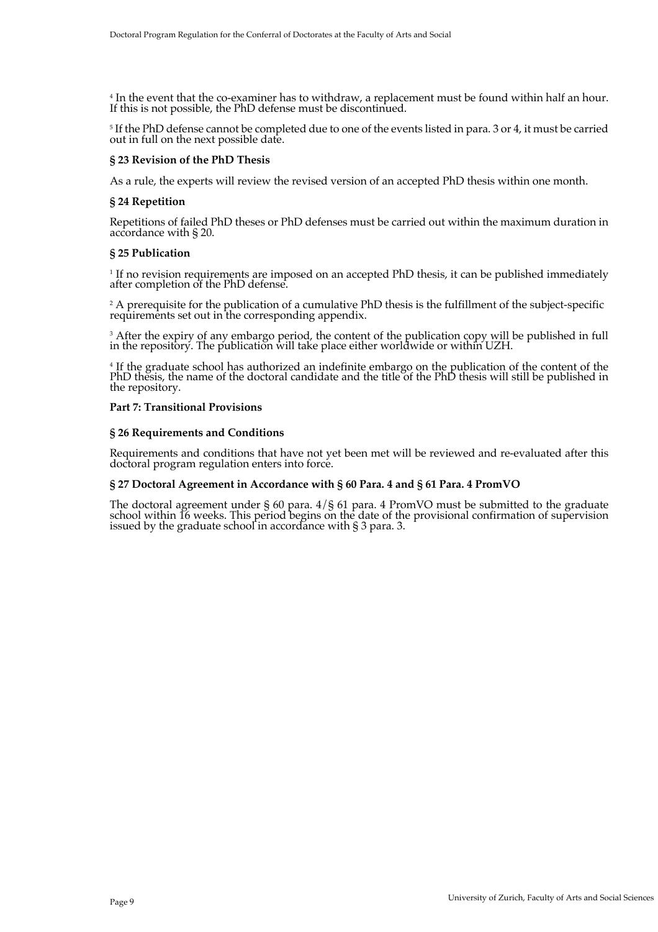<sup>4</sup> In the event that the co-examiner has to withdraw, a replacement must be found within half an hour. If this is not possible, the PhD defense must be discontinued.

<sup>5</sup> If the PhD defense cannot be completed due to one of the events listed in para. 3 or 4, it must be carried out in full on the next possible date.

# **§ 23 Revision of the PhD Thesis**

As a rule, the experts will review the revised version of an accepted PhD thesis within one month.

# **§ 24 Repetition**

Repetitions of failed PhD theses or PhD defenses must be carried out within the maximum duration in accordance with § 20.

# **§ 25 Publication**

<sup>1</sup> If no revision requirements are imposed on an accepted PhD thesis, it can be published immediately after completion of the PhD defense.

 $^{\rm 2}$  A prerequisite for the publication of a cumulative PhD thesis is the fulfillment of the subject-specific requirements set out in the corresponding appendix.

<sup>3</sup> After the expiry of any embargo period, the content of the publication copy will be published in full in the repository. The publication will take place either worldwide or within UZH.

<sup>4</sup> If the graduate school has authorized an indefinite embargo on the publication of the content of the PhD thesis, the name of the doctoral candidate and the title of the PhD thesis will still be published in the repository.

#### **Part 7: Transitional Provisions**

# **§ 26 Requirements and Conditions**

Requirements and conditions that have not yet been met will be reviewed and re-evaluated after this doctoral program regulation enters into force.

# **§ 27 Doctoral Agreement in Accordance with § 60 Para. 4 and § 61 Para. 4 PromVO**

The doctoral agreement under § 60 para. 4/§ 61 para. 4 PromVO must be submitted to the graduate school within 16 weeks. This period begins on the date of the provisional confirmation of supervision issued by the graduate school in accordance with § 3 para. 3.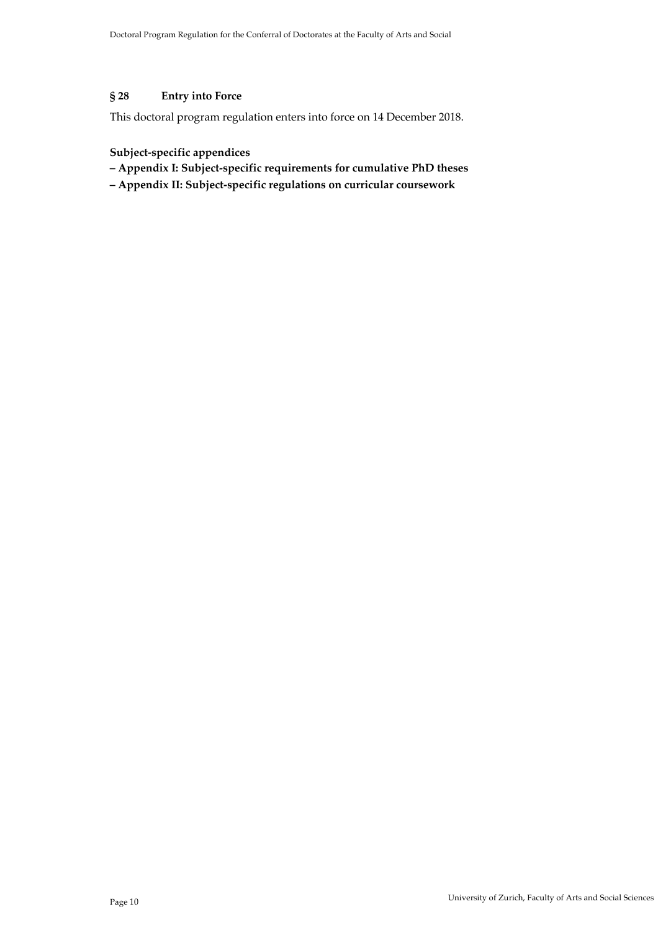# **§ 28 Entry into Force**

This doctoral program regulation enters into force on 14 December 2018.

# **Subject-specific appendices**

- **– Appendix I: Subject-specific requirements for cumulative PhD theses**
- **– Appendix II: Subject-specific regulations on curricular coursework**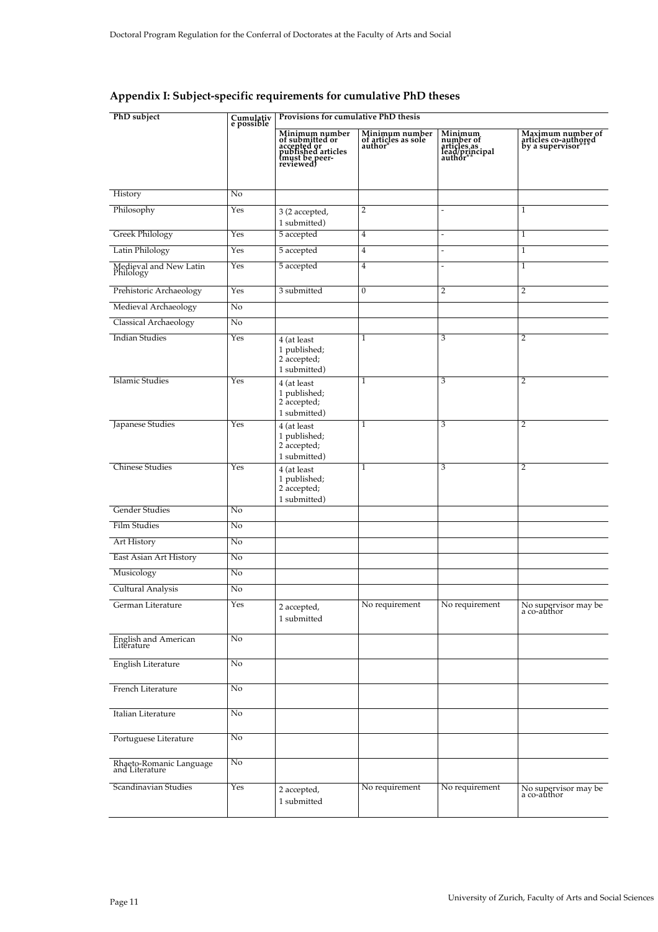| PhD subject                               | Cumulativ<br>e possible | Provisions for cumulative PhD thesis                                                                  |                                                 |                                                                   |                                                              |  |
|-------------------------------------------|-------------------------|-------------------------------------------------------------------------------------------------------|-------------------------------------------------|-------------------------------------------------------------------|--------------------------------------------------------------|--|
|                                           |                         | Minimum number<br>of submitted or<br>accepted or<br>published articles<br>(must be peer-<br>reviewed) | Minimum number<br>of articles as sole<br>author | Minimum<br>number of<br>articles as<br>lead/principal<br>author** | Maximum number of<br>articles co-authored<br>by a supervisor |  |
| History                                   | No                      |                                                                                                       |                                                 |                                                                   |                                                              |  |
| Philosophy                                | Yes                     |                                                                                                       | 2                                               |                                                                   | $\mathbf{1}$                                                 |  |
|                                           |                         | 3 (2 accepted,<br>1 submitted)                                                                        |                                                 |                                                                   |                                                              |  |
| <b>Greek Philology</b>                    | Yes                     | 5 accepted                                                                                            | $\overline{4}$                                  | $\overline{\phantom{a}}$                                          | $\mathbf{1}$                                                 |  |
| Latin Philology                           | Yes                     | 5 accepted                                                                                            | $\overline{4}$                                  | $\overline{a}$                                                    | $\mathbf{1}$                                                 |  |
| Medieval and New Latin<br>Philology       | Yes                     | 5 accepted                                                                                            | 4                                               |                                                                   | $\mathbf{1}$                                                 |  |
| Prehistoric Archaeology                   | Yes                     | 3 submitted                                                                                           | $\overline{0}$                                  | $\overline{2}$                                                    | $\overline{2}$                                               |  |
| Medieval Archaeology                      | No                      |                                                                                                       |                                                 |                                                                   |                                                              |  |
| Classical Archaeology                     | No                      |                                                                                                       |                                                 |                                                                   |                                                              |  |
| <b>Indian Studies</b>                     | Yes                     | 4 (at least<br>1 published;<br>2 accepted;<br>1 submitted)                                            | 1                                               | 3                                                                 | $\overline{2}$                                               |  |
| <b>Islamic Studies</b>                    | Yes                     | 4 (at least<br>1 published;<br>2 accepted;<br>1 submitted)                                            | 1                                               | 3                                                                 | $\overline{2}$                                               |  |
| Japanese Studies                          | Yes                     | 4 (at least<br>1 published;<br>2 accepted;<br>1 submitted)                                            | 1                                               | 3                                                                 | 2                                                            |  |
| <b>Chinese Studies</b>                    | Yes                     | 4 (at least<br>1 published;<br>2 accepted;<br>1 submitted)                                            | 1                                               | 3                                                                 | $\overline{2}$                                               |  |
| Gender Studies                            | No                      |                                                                                                       |                                                 |                                                                   |                                                              |  |
| <b>Film Studies</b>                       | No                      |                                                                                                       |                                                 |                                                                   |                                                              |  |
| Art History                               | No                      |                                                                                                       |                                                 |                                                                   |                                                              |  |
| East Asian Art History                    | No                      |                                                                                                       |                                                 |                                                                   |                                                              |  |
| Musicology                                | No                      |                                                                                                       |                                                 |                                                                   |                                                              |  |
| <b>Cultural Analysis</b>                  | No                      |                                                                                                       |                                                 |                                                                   |                                                              |  |
| German Literature                         | Yes                     | 2 accepted,<br>1 submitted                                                                            | No requirement                                  | No requirement                                                    | No supervisor may be<br>a co-author                          |  |
| English and American<br>Literature        | No.                     |                                                                                                       |                                                 |                                                                   |                                                              |  |
| English Literature                        | No                      |                                                                                                       |                                                 |                                                                   |                                                              |  |
| French Literature                         | $\overline{No}$         |                                                                                                       |                                                 |                                                                   |                                                              |  |
| Italian Literature                        | No                      |                                                                                                       |                                                 |                                                                   |                                                              |  |
| Portuguese Literature                     | $\overline{No}$         |                                                                                                       |                                                 |                                                                   |                                                              |  |
| Rhaeto-Romanic Language<br>and Literature | No                      |                                                                                                       |                                                 |                                                                   |                                                              |  |
| Scandinavian Studies                      | Yes                     | 2 accepted,<br>1 submitted                                                                            | No requirement                                  | No requirement                                                    | No supervisor may be<br>a co-author                          |  |

# **Appendix I: Subject-specific requirements for cumulative PhD theses**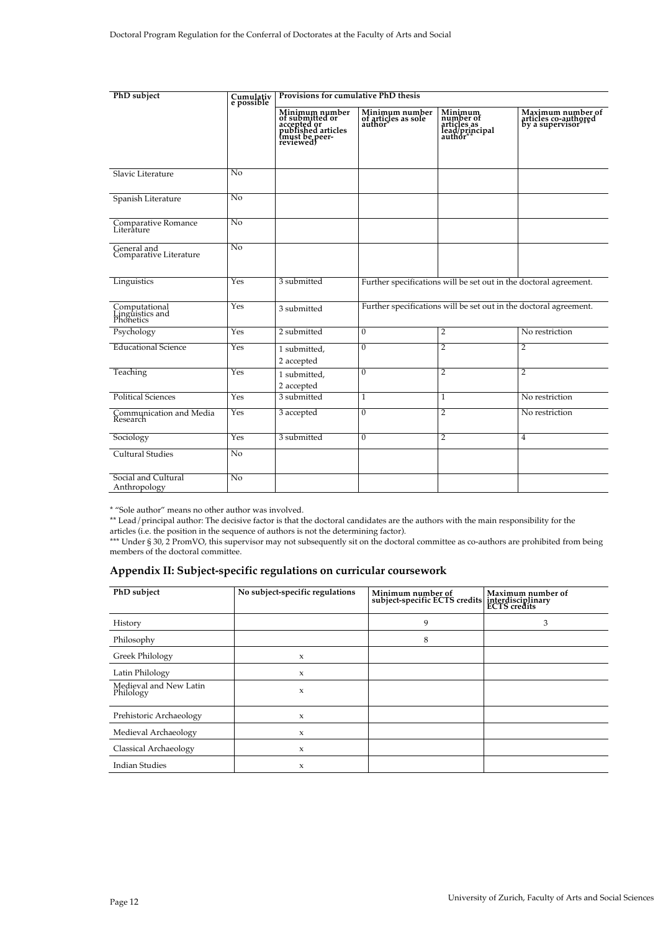| PhD subject                                   | Cumulativ<br>e possible | Provisions for cumulative PhD thesis                                                                  |                                                                   |                                                                   |                                                              |
|-----------------------------------------------|-------------------------|-------------------------------------------------------------------------------------------------------|-------------------------------------------------------------------|-------------------------------------------------------------------|--------------------------------------------------------------|
|                                               |                         | Minimum number<br>of submitted or<br>accepted or<br>published articles<br>(must be peer-<br>reviewed) | Minimum number<br>of articles as sole<br>author                   | Minimum<br>number of<br>articles as<br>lead/principal<br>author** | Maximum number of<br>articles co-authored<br>by a supervisor |
| Slavic Literature                             | $\overline{N_0}$        |                                                                                                       |                                                                   |                                                                   |                                                              |
| Spanish Literature                            | $\overline{N_0}$        |                                                                                                       |                                                                   |                                                                   |                                                              |
| Comparative Romance<br>Literature             | No                      |                                                                                                       |                                                                   |                                                                   |                                                              |
| General and<br>Comparative Literature         | No                      |                                                                                                       |                                                                   |                                                                   |                                                              |
| Linguistics                                   | Yes                     | 3 submitted                                                                                           | Further specifications will be set out in the doctoral agreement. |                                                                   |                                                              |
| Computational<br>Linguistics and<br>Phonetics | Yes                     | 3 submitted                                                                                           | Further specifications will be set out in the doctoral agreement. |                                                                   |                                                              |
| Psychology                                    | Yes                     | 2 submitted                                                                                           | $\Omega$                                                          | $\overline{2}$                                                    | No restriction                                               |
| <b>Educational Science</b>                    | Yes                     | 1 submitted,<br>2 accepted                                                                            | 0                                                                 | $\overline{2}$                                                    | $\overline{2}$                                               |
| Teaching                                      | Yes                     | 1 submitted,<br>2 accepted                                                                            | $\boldsymbol{0}$                                                  | $\overline{2}$                                                    | $\overline{2}$                                               |
| <b>Political Sciences</b>                     | Yes                     | 3 submitted                                                                                           | 1                                                                 | $\mathbf{1}$                                                      | No restriction                                               |
| Communication and Media<br>Research           | Yes                     | 3 accepted                                                                                            | 0                                                                 | $\overline{2}$                                                    | No restriction                                               |
| Sociology                                     | Yes                     | 3 submitted                                                                                           | 0                                                                 | $\overline{2}$                                                    | $\overline{4}$                                               |
| <b>Cultural Studies</b>                       | No                      |                                                                                                       |                                                                   |                                                                   |                                                              |
| Social and Cultural<br>Anthropology           | No                      |                                                                                                       |                                                                   |                                                                   |                                                              |

\* "Sole author" means no other author was involved.

\*\* Lead/principal author: The decisive factor is that the doctoral candidates are the authors with the main responsibility for the articles (i.e. the position in the sequence of authors is not the determining factor).

\*\*\* Under § 30, 2 PromVO, this supervisor may not subsequently sit on the doctoral committee as co-authors are prohibited from being members of the doctoral committee.

# **Appendix II: Subject-specific regulations on curricular coursework**

| PhD subject                         | No subject-specific regulations | Minimum number of<br>subject-specific ECTS credits | Maximum number of<br>interdisciplinary<br>ECTS credits |
|-------------------------------------|---------------------------------|----------------------------------------------------|--------------------------------------------------------|
| History                             |                                 | 9                                                  | 3                                                      |
| Philosophy                          |                                 | 8                                                  |                                                        |
| Greek Philology                     | $\mathbf{x}$                    |                                                    |                                                        |
| Latin Philology                     | $\mathbf{x}$                    |                                                    |                                                        |
| Medieval and New Latin<br>Philology | $\boldsymbol{\chi}$             |                                                    |                                                        |
| Prehistoric Archaeology             | $\mathbf{x}$                    |                                                    |                                                        |
| Medieval Archaeology                | $\mathbf{x}$                    |                                                    |                                                        |
| Classical Archaeology               | $\mathbf{x}$                    |                                                    |                                                        |
| <b>Indian Studies</b>               | $\mathbf{x}$                    |                                                    |                                                        |